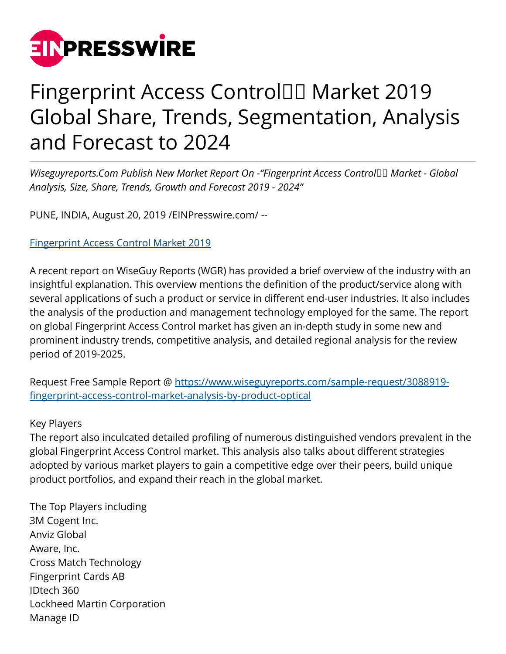

# Fingerprint Access Control<sup>II</sup> Market 2019 Global Share, Trends, Segmentation, Analysis and Forecast to 2024

*Wiseguyreports.Com Publish New Market Report On -"Fingerprint Access Control Market - Global Analysis, Size, Share, Trends, Growth and Forecast 2019 - 2024"*

PUNE, INDIA, August 20, 2019 [/EINPresswire.com/](http://www.einpresswire.com) --

# [Fingerprint Access Control Market 2019](https://www.wiseguyreports.com/sample-request/3088919-fingerprint-access-control-market-analysis-by-product-optical)

A recent report on WiseGuy Reports (WGR) has provided a brief overview of the industry with an insightful explanation. This overview mentions the definition of the product/service along with several applications of such a product or service in different end-user industries. It also includes the analysis of the production and management technology employed for the same. The report on global Fingerprint Access Control market has given an in-depth study in some new and prominent industry trends, competitive analysis, and detailed regional analysis for the review period of 2019-2025.

Request Free Sample Report @ [https://www.wiseguyreports.com/sample-request/3088919](https://www.wiseguyreports.com/sample-request/3088919-fingerprint-access-control-market-analysis-by-product-optical) [fingerprint-access-control-market-analysis-by-product-optical](https://www.wiseguyreports.com/sample-request/3088919-fingerprint-access-control-market-analysis-by-product-optical)

# Key Players

The report also inculcated detailed profiling of numerous distinguished vendors prevalent in the global Fingerprint Access Control market. This analysis also talks about different strategies adopted by various market players to gain a competitive edge over their peers, build unique product portfolios, and expand their reach in the global market.

The Top Players including 3M Cogent Inc. Anviz Global Aware, Inc. Cross Match Technology Fingerprint Cards AB IDtech 360 Lockheed Martin Corporation Manage ID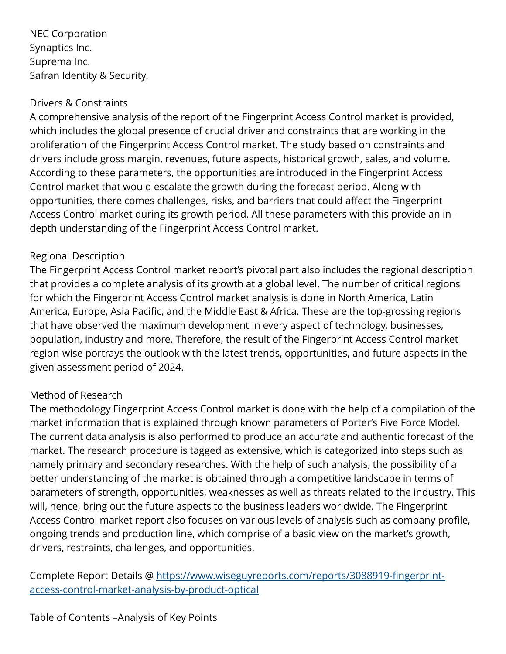NEC Corporation Synaptics Inc. Suprema Inc. Safran Identity & Security.

#### Drivers & Constraints

A comprehensive analysis of the report of the Fingerprint Access Control market is provided, which includes the global presence of crucial driver and constraints that are working in the proliferation of the Fingerprint Access Control market. The study based on constraints and drivers include gross margin, revenues, future aspects, historical growth, sales, and volume. According to these parameters, the opportunities are introduced in the Fingerprint Access Control market that would escalate the growth during the forecast period. Along with opportunities, there comes challenges, risks, and barriers that could affect the Fingerprint Access Control market during its growth period. All these parameters with this provide an indepth understanding of the Fingerprint Access Control market.

# Regional Description

The Fingerprint Access Control market report's pivotal part also includes the regional description that provides a complete analysis of its growth at a global level. The number of critical regions for which the Fingerprint Access Control market analysis is done in North America, Latin America, Europe, Asia Pacific, and the Middle East & Africa. These are the top-grossing regions that have observed the maximum development in every aspect of technology, businesses, population, industry and more. Therefore, the result of the Fingerprint Access Control market region-wise portrays the outlook with the latest trends, opportunities, and future aspects in the given assessment period of 2024.

# Method of Research

The methodology Fingerprint Access Control market is done with the help of a compilation of the market information that is explained through known parameters of Porter's Five Force Model. The current data analysis is also performed to produce an accurate and authentic forecast of the market. The research procedure is tagged as extensive, which is categorized into steps such as namely primary and secondary researches. With the help of such analysis, the possibility of a better understanding of the market is obtained through a competitive landscape in terms of parameters of strength, opportunities, weaknesses as well as threats related to the industry. This will, hence, bring out the future aspects to the business leaders worldwide. The Fingerprint Access Control market report also focuses on various levels of analysis such as company profile, ongoing trends and production line, which comprise of a basic view on the market's growth, drivers, restraints, challenges, and opportunities.

Complete Report Details @ [https://www.wiseguyreports.com/reports/3088919-fingerprint](https://www.wiseguyreports.com/reports/3088919-fingerprint-access-control-market-analysis-by-product-optical)[access-control-market-analysis-by-product-optical](https://www.wiseguyreports.com/reports/3088919-fingerprint-access-control-market-analysis-by-product-optical)